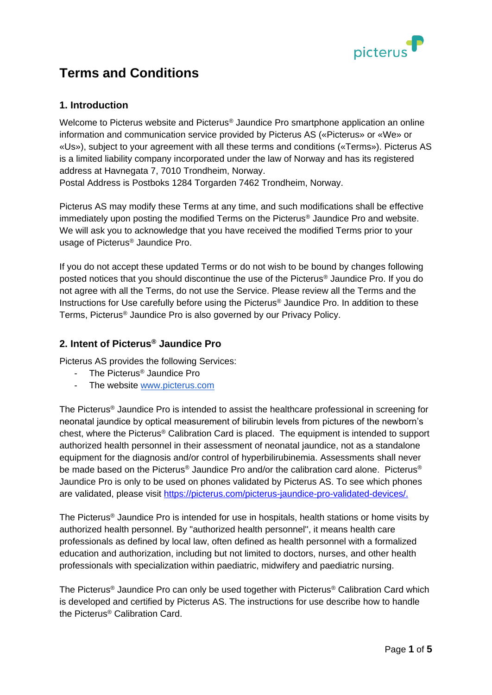

# **Terms and Conditions**

## **1. Introduction**

Welcome to Picterus website and Picterus<sup>®</sup> Jaundice Pro smartphone application an online information and communication service provided by Picterus AS («Picterus» or «We» or «Us»), subject to your agreement with all these terms and conditions («Terms»). Picterus AS is a limited liability company incorporated under the law of Norway and has its registered address at Havnegata 7, 7010 Trondheim, Norway.

Postal Address is Postboks 1284 Torgarden 7462 Trondheim, Norway.

Picterus AS may modify these Terms at any time, and such modifications shall be effective immediately upon posting the modified Terms on the Picterus® Jaundice Pro and website. We will ask you to acknowledge that you have received the modified Terms prior to your usage of Picterus® Jaundice Pro.

If you do not accept these updated Terms or do not wish to be bound by changes following posted notices that you should discontinue the use of the Picterus® Jaundice Pro. If you do not agree with all the Terms, do not use the Service. Please review all the Terms and the Instructions for Use carefully before using the Picterus® Jaundice Pro. In addition to these Terms, Picterus® Jaundice Pro is also governed by our Privacy Policy.

# **2. Intent of Picterus® Jaundice Pro**

Picterus AS provides the following Services:

- The Picterus<sup>®</sup> Jaundice Pro
- The website [www.picterus.com](http://www.picterus.com/)

The Picterus® Jaundice Pro is intended to assist the healthcare professional in screening for neonatal jaundice by optical measurement of bilirubin levels from pictures of the newborn's chest, where the Picterus® Calibration Card is placed. The equipment is intended to support authorized health personnel in their assessment of neonatal jaundice, not as a standalone equipment for the diagnosis and/or control of hyperbilirubinemia. Assessments shall never be made based on the Picterus® Jaundice Pro and/or the calibration card alone. Picterus® Jaundice Pro is only to be used on phones validated by Picterus AS. To see which phones are validated, please visit [https://picterus.com/picterus-jaundice-pro-validated-devices/.](https://picterus.com/picterus-jaundice-pro-validated-devices/)

The Picterus® Jaundice Pro is intended for use in hospitals, health stations or home visits by authorized health personnel. By "authorized health personnel'', it means health care professionals as defined by local law, often defined as health personnel with a formalized education and authorization, including but not limited to doctors, nurses, and other health professionals with specialization within paediatric, midwifery and paediatric nursing.

The Picterus® Jaundice Pro can only be used together with Picterus® Calibration Card which is developed and certified by Picterus AS. The instructions for use describe how to handle the Picterus® Calibration Card.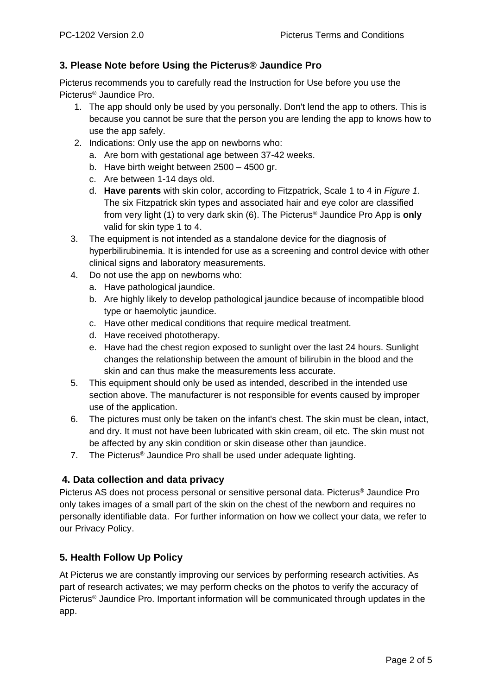### **3. Please Note before Using the Picterus® Jaundice Pro**

Picterus recommends you to carefully read the Instruction for Use before you use the Picterus® Jaundice Pro.

- 1. The app should only be used by you personally. Don't lend the app to others. This is because you cannot be sure that the person you are lending the app to knows how to use the app safely.
- 2. Indications: Only use the app on newborns who:
	- a. Are born with gestational age between 37-42 weeks.
	- b. Have birth weight between 2500 4500 gr.
	- c. Are between 1-14 days old.
	- d. **Have parents** with skin color, according to Fitzpatrick, Scale 1 to 4 in *Figure 1*. The six Fitzpatrick skin types and associated hair and eye color are classified from very light (1) to very dark skin (6). The Picterus® Jaundice Pro App is **only** valid for skin type 1 to 4.
- 3. The equipment is not intended as a standalone device for the diagnosis of hyperbilirubinemia. It is intended for use as a screening and control device with other clinical signs and laboratory measurements.
- 4. Do not use the app on newborns who:
	- a. Have pathological jaundice.
	- b. Are highly likely to develop pathological jaundice because of incompatible blood type or haemolytic jaundice.
	- c. Have other medical conditions that require medical treatment.
	- d. Have received phototherapy.
	- e. Have had the chest region exposed to sunlight over the last 24 hours. Sunlight changes the relationship between the amount of bilirubin in the blood and the skin and can thus make the measurements less accurate.
- 5. This equipment should only be used as intended, described in the intended use section above. The manufacturer is not responsible for events caused by improper use of the application.
- 6. The pictures must only be taken on the infant's chest. The skin must be clean, intact, and dry. It must not have been lubricated with skin cream, oil etc. The skin must not be affected by any skin condition or skin disease other than jaundice.
- 7. The Picterus® Jaundice Pro shall be used under adequate lighting.

#### **4. Data collection and data privacy**

Picterus AS does not process personal or sensitive personal data. Picterus® Jaundice Pro only takes images of a small part of the skin on the chest of the newborn and requires no personally identifiable data. For further information on how we collect your data, we refer to our Privacy Policy.

#### **5. Health Follow Up Policy**

At Picterus we are constantly improving our services by performing research activities. As part of research activates; we may perform checks on the photos to verify the accuracy of Picterus® Jaundice Pro. Important information will be communicated through updates in the app.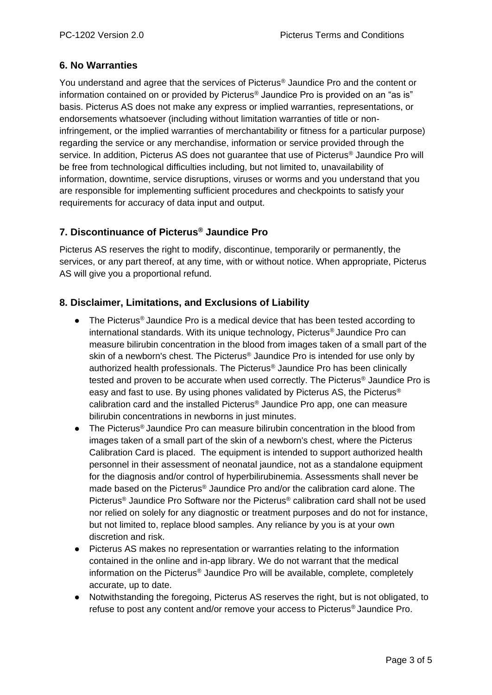### **6. No Warranties**

You understand and agree that the services of Picterus® Jaundice Pro and the content or information contained on or provided by Picterus® Jaundice Pro is provided on an "as is" basis. Picterus AS does not make any express or implied warranties, representations, or endorsements whatsoever (including without limitation warranties of title or noninfringement, or the implied warranties of merchantability or fitness for a particular purpose) regarding the service or any merchandise, information or service provided through the service. In addition, Picterus AS does not guarantee that use of Picterus® Jaundice Pro will be free from technological difficulties including, but not limited to, unavailability of information, downtime, service disruptions, viruses or worms and you understand that you are responsible for implementing sufficient procedures and checkpoints to satisfy your requirements for accuracy of data input and output.

## **7. Discontinuance of Picterus® Jaundice Pro**

Picterus AS reserves the right to modify, discontinue, temporarily or permanently, the services, or any part thereof, at any time, with or without notice. When appropriate, Picterus AS will give you a proportional refund.

### **8. Disclaimer, Limitations, and Exclusions of Liability**

- The Picterus<sup>®</sup> Jaundice Pro is a medical device that has been tested according to international standards. With its unique technology, Picterus® Jaundice Pro can measure bilirubin concentration in the blood from images taken of a small part of the skin of a newborn's chest. The Picterus® Jaundice Pro is intended for use only by authorized health professionals. The Picterus® Jaundice Pro has been clinically tested and proven to be accurate when used correctly. The Picterus® Jaundice Pro is easy and fast to use. By using phones validated by Picterus AS, the Picterus® calibration card and the installed Picterus® Jaundice Pro app, one can measure bilirubin concentrations in newborns in just minutes.
- The Picterus® Jaundice Pro can measure bilirubin concentration in the blood from images taken of a small part of the skin of a newborn's chest, where the Picterus Calibration Card is placed. The equipment is intended to support authorized health personnel in their assessment of neonatal jaundice, not as a standalone equipment for the diagnosis and/or control of hyperbilirubinemia. Assessments shall never be made based on the Picterus® Jaundice Pro and/or the calibration card alone. The Picterus® Jaundice Pro Software nor the Picterus® calibration card shall not be used nor relied on solely for any diagnostic or treatment purposes and do not for instance, but not limited to, replace blood samples. Any reliance by you is at your own discretion and risk.
- Picterus AS makes no representation or warranties relating to the information contained in the online and in-app library. We do not warrant that the medical information on the Picterus® Jaundice Pro will be available, complete, completely accurate, up to date.
- Notwithstanding the foregoing, Picterus AS reserves the right, but is not obligated, to refuse to post any content and/or remove your access to Picterus® Jaundice Pro.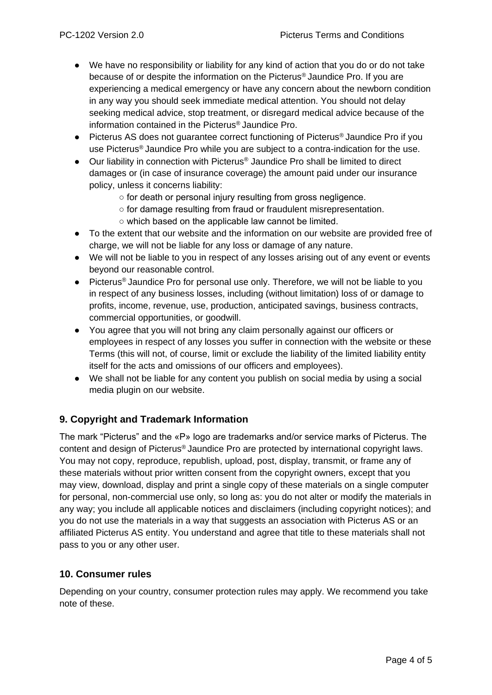- We have no responsibility or liability for any kind of action that you do or do not take because of or despite the information on the Picterus® Jaundice Pro. If you are experiencing a medical emergency or have any concern about the newborn condition in any way you should seek immediate medical attention. You should not delay seeking medical advice, stop treatment, or disregard medical advice because of the information contained in the Picterus® Jaundice Pro.
- Picterus AS does not quarantee correct functioning of Picterus<sup>®</sup> Jaundice Pro if you use Picterus® Jaundice Pro while you are subject to a contra-indication for the use.
- Our liability in connection with Picterus<sup>®</sup> Jaundice Pro shall be limited to direct damages or (in case of insurance coverage) the amount paid under our insurance policy, unless it concerns liability:
	- for death or personal injury resulting from gross negligence.
	- for damage resulting from fraud or fraudulent misrepresentation.
	- which based on the applicable law cannot be limited.
- To the extent that our website and the information on our website are provided free of charge, we will not be liable for any loss or damage of any nature.
- We will not be liable to you in respect of any losses arising out of any event or events beyond our reasonable control.
- Picterus<sup>®</sup> Jaundice Pro for personal use only. Therefore, we will not be liable to you in respect of any business losses, including (without limitation) loss of or damage to profits, income, revenue, use, production, anticipated savings, business contracts, commercial opportunities, or goodwill.
- You agree that you will not bring any claim personally against our officers or employees in respect of any losses you suffer in connection with the website or these Terms (this will not, of course, limit or exclude the liability of the limited liability entity itself for the acts and omissions of our officers and employees).
- We shall not be liable for any content you publish on social media by using a social media plugin on our website.

# **9. Copyright and Trademark Information**

The mark "Picterus" and the «P» logo are trademarks and/or service marks of Picterus. The content and design of Picterus® Jaundice Pro are protected by international copyright laws. You may not copy, reproduce, republish, upload, post, display, transmit, or frame any of these materials without prior written consent from the copyright owners, except that you may view, download, display and print a single copy of these materials on a single computer for personal, non-commercial use only, so long as: you do not alter or modify the materials in any way; you include all applicable notices and disclaimers (including copyright notices); and you do not use the materials in a way that suggests an association with Picterus AS or an affiliated Picterus AS entity. You understand and agree that title to these materials shall not pass to you or any other user.

#### **10. Consumer rules**

Depending on your country, consumer protection rules may apply. We recommend you take note of these.